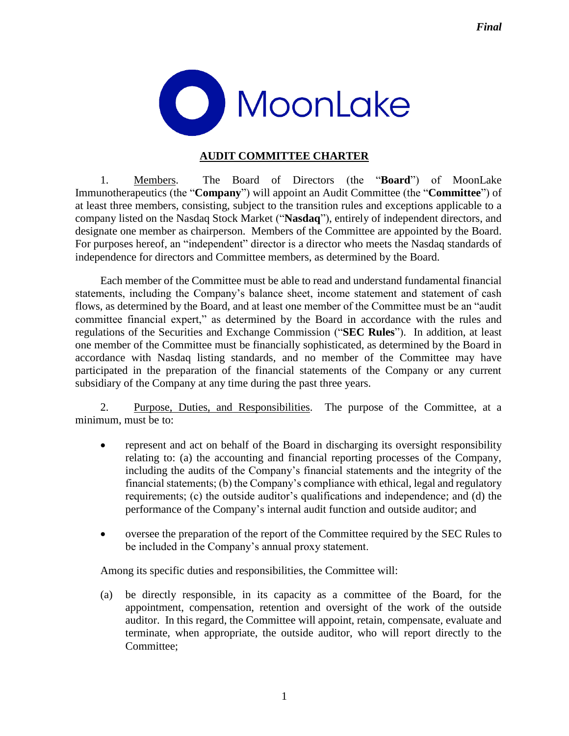

## **AUDIT COMMITTEE CHARTER**

1. Members. The Board of Directors (the "**Board**") of MoonLake Immunotherapeutics (the "**Company**") will appoint an Audit Committee (the "**Committee**") of at least three members, consisting, subject to the transition rules and exceptions applicable to a company listed on the Nasdaq Stock Market ("**Nasdaq**"), entirely of independent directors, and designate one member as chairperson. Members of the Committee are appointed by the Board. For purposes hereof, an "independent" director is a director who meets the Nasdaq standards of independence for directors and Committee members, as determined by the Board.

Each member of the Committee must be able to read and understand fundamental financial statements, including the Company's balance sheet, income statement and statement of cash flows, as determined by the Board, and at least one member of the Committee must be an "audit committee financial expert," as determined by the Board in accordance with the rules and regulations of the Securities and Exchange Commission ("**SEC Rules**"). In addition, at least one member of the Committee must be financially sophisticated, as determined by the Board in accordance with Nasdaq listing standards, and no member of the Committee may have participated in the preparation of the financial statements of the Company or any current subsidiary of the Company at any time during the past three years.

2. Purpose, Duties, and Responsibilities. The purpose of the Committee, at a minimum, must be to:

- represent and act on behalf of the Board in discharging its oversight responsibility relating to: (a) the accounting and financial reporting processes of the Company, including the audits of the Company's financial statements and the integrity of the financial statements; (b) the Company's compliance with ethical, legal and regulatory requirements; (c) the outside auditor's qualifications and independence; and (d) the performance of the Company's internal audit function and outside auditor; and
- oversee the preparation of the report of the Committee required by the SEC Rules to be included in the Company's annual proxy statement.

Among its specific duties and responsibilities, the Committee will:

(a) be directly responsible, in its capacity as a committee of the Board, for the appointment, compensation, retention and oversight of the work of the outside auditor. In this regard, the Committee will appoint, retain, compensate, evaluate and terminate, when appropriate, the outside auditor, who will report directly to the Committee;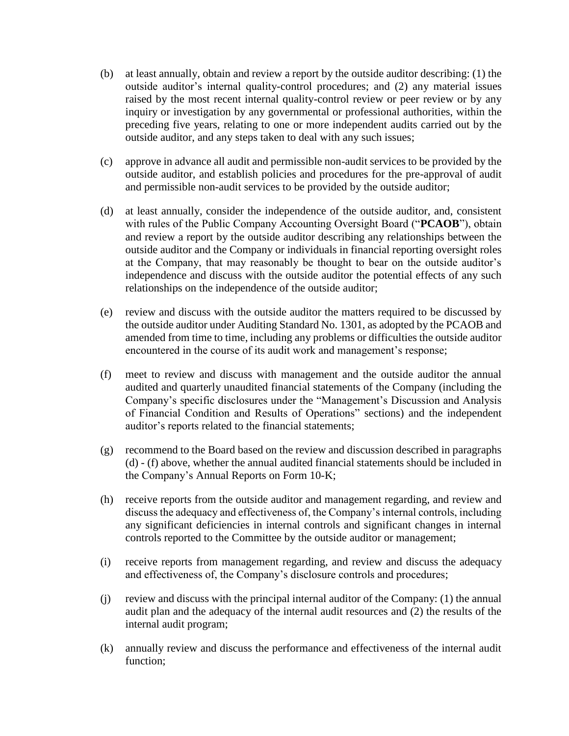- (b) at least annually, obtain and review a report by the outside auditor describing: (1) the outside auditor's internal quality-control procedures; and (2) any material issues raised by the most recent internal quality-control review or peer review or by any inquiry or investigation by any governmental or professional authorities, within the preceding five years, relating to one or more independent audits carried out by the outside auditor, and any steps taken to deal with any such issues;
- (c) approve in advance all audit and permissible non-audit services to be provided by the outside auditor, and establish policies and procedures for the pre-approval of audit and permissible non-audit services to be provided by the outside auditor;
- (d) at least annually, consider the independence of the outside auditor, and, consistent with rules of the Public Company Accounting Oversight Board ("**PCAOB**"), obtain and review a report by the outside auditor describing any relationships between the outside auditor and the Company or individuals in financial reporting oversight roles at the Company, that may reasonably be thought to bear on the outside auditor's independence and discuss with the outside auditor the potential effects of any such relationships on the independence of the outside auditor;
- (e) review and discuss with the outside auditor the matters required to be discussed by the outside auditor under Auditing Standard No. 1301, as adopted by the PCAOB and amended from time to time, including any problems or difficulties the outside auditor encountered in the course of its audit work and management's response;
- (f) meet to review and discuss with management and the outside auditor the annual audited and quarterly unaudited financial statements of the Company (including the Company's specific disclosures under the "Management's Discussion and Analysis of Financial Condition and Results of Operations" sections) and the independent auditor's reports related to the financial statements;
- (g) recommend to the Board based on the review and discussion described in paragraphs (d) - (f) above, whether the annual audited financial statements should be included in the Company's Annual Reports on Form 10-K;
- (h) receive reports from the outside auditor and management regarding, and review and discuss the adequacy and effectiveness of, the Company's internal controls, including any significant deficiencies in internal controls and significant changes in internal controls reported to the Committee by the outside auditor or management;
- (i) receive reports from management regarding, and review and discuss the adequacy and effectiveness of, the Company's disclosure controls and procedures;
- (j) review and discuss with the principal internal auditor of the Company: (1) the annual audit plan and the adequacy of the internal audit resources and (2) the results of the internal audit program;
- (k) annually review and discuss the performance and effectiveness of the internal audit function;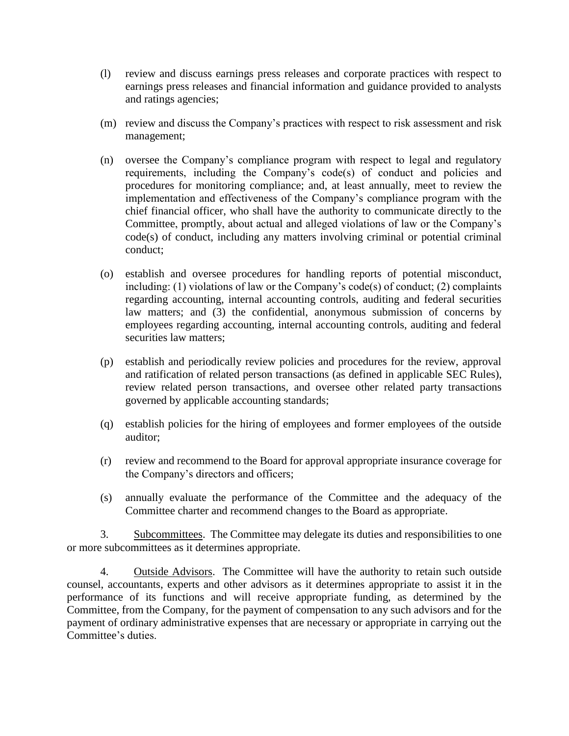- (l) review and discuss earnings press releases and corporate practices with respect to earnings press releases and financial information and guidance provided to analysts and ratings agencies;
- (m) review and discuss the Company's practices with respect to risk assessment and risk management;
- (n) oversee the Company's compliance program with respect to legal and regulatory requirements, including the Company's code(s) of conduct and policies and procedures for monitoring compliance; and, at least annually, meet to review the implementation and effectiveness of the Company's compliance program with the chief financial officer, who shall have the authority to communicate directly to the Committee, promptly, about actual and alleged violations of law or the Company's code(s) of conduct, including any matters involving criminal or potential criminal conduct;
- (o) establish and oversee procedures for handling reports of potential misconduct, including: (1) violations of law or the Company's code(s) of conduct; (2) complaints regarding accounting, internal accounting controls, auditing and federal securities law matters; and (3) the confidential, anonymous submission of concerns by employees regarding accounting, internal accounting controls, auditing and federal securities law matters;
- (p) establish and periodically review policies and procedures for the review, approval and ratification of related person transactions (as defined in applicable SEC Rules), review related person transactions, and oversee other related party transactions governed by applicable accounting standards;
- (q) establish policies for the hiring of employees and former employees of the outside auditor;
- (r) review and recommend to the Board for approval appropriate insurance coverage for the Company's directors and officers;
- (s) annually evaluate the performance of the Committee and the adequacy of the Committee charter and recommend changes to the Board as appropriate.

3. Subcommittees. The Committee may delegate its duties and responsibilities to one or more subcommittees as it determines appropriate.

4. Outside Advisors. The Committee will have the authority to retain such outside counsel, accountants, experts and other advisors as it determines appropriate to assist it in the performance of its functions and will receive appropriate funding, as determined by the Committee, from the Company, for the payment of compensation to any such advisors and for the payment of ordinary administrative expenses that are necessary or appropriate in carrying out the Committee's duties.